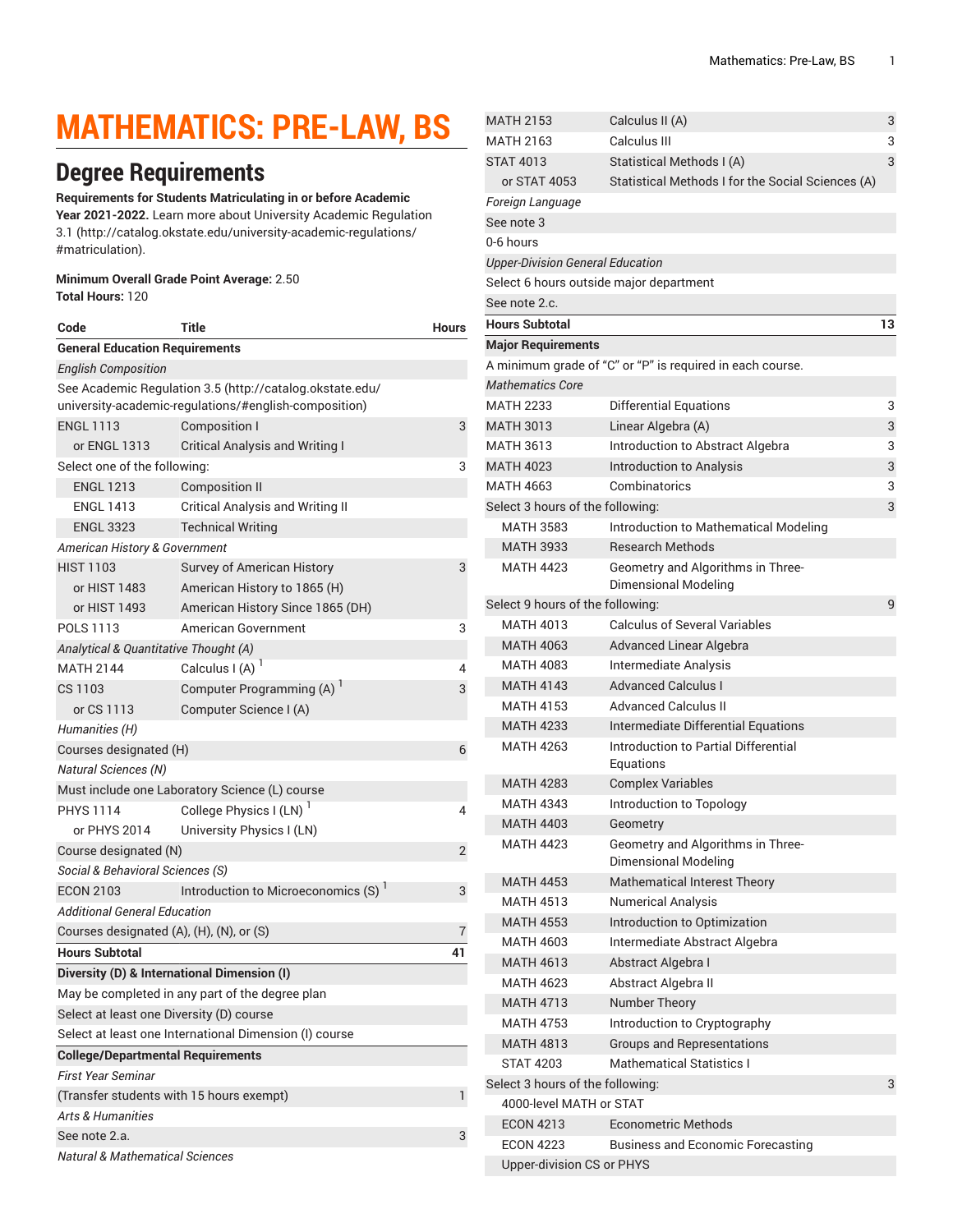# **MATHEMATICS: PRE-LAW, BS**

# **Degree Requirements**

**Requirements for Students Matriculating in or before Academic Year 2021-2022.** Learn more about University Academic [Regulation](http://catalog.okstate.edu/university-academic-regulations/#matriculation) [3.1](http://catalog.okstate.edu/university-academic-regulations/#matriculation) ([http://catalog.okstate.edu/university-academic-regulations/](http://catalog.okstate.edu/university-academic-regulations/#matriculation) [#matriculation\)](http://catalog.okstate.edu/university-academic-regulations/#matriculation).

#### **Minimum Overall Grade Point Average:** 2.50

**Total Hours:** 120

| Code                                                     | Title                                           | <b>Hours</b> |  |  |
|----------------------------------------------------------|-------------------------------------------------|--------------|--|--|
| <b>General Education Requirements</b>                    |                                                 |              |  |  |
| <b>English Composition</b>                               |                                                 |              |  |  |
| See Academic Regulation 3.5 (http://catalog.okstate.edu/ |                                                 |              |  |  |
| university-academic-regulations/#english-composition)    |                                                 |              |  |  |
| <b>ENGL 1113</b>                                         | Composition I                                   | 3            |  |  |
| or ENGL 1313                                             | <b>Critical Analysis and Writing I</b>          |              |  |  |
| Select one of the following:                             |                                                 |              |  |  |
| <b>ENGL 1213</b>                                         | <b>Composition II</b>                           |              |  |  |
| <b>ENGL 1413</b>                                         | <b>Critical Analysis and Writing II</b>         |              |  |  |
| <b>ENGL 3323</b>                                         | <b>Technical Writing</b>                        |              |  |  |
| American History & Government                            |                                                 |              |  |  |
| <b>HIST 1103</b>                                         | Survey of American History                      | 3            |  |  |
| or HIST 1483                                             | American History to 1865 (H)                    |              |  |  |
| or HIST 1493                                             | American History Since 1865 (DH)                |              |  |  |
| POLS 1113                                                | American Government                             | 3            |  |  |
| Analytical & Quantitative Thought (A)                    |                                                 |              |  |  |
| <b>MATH 2144</b>                                         | Calculus I (A) $1$                              | 4            |  |  |
| CS 1103                                                  | Computer Programming (A) <sup>1</sup>           | 3            |  |  |
| or CS 1113                                               | Computer Science I (A)                          |              |  |  |
| Humanities (H)                                           |                                                 |              |  |  |
| Courses designated (H)                                   |                                                 |              |  |  |
| <i>Natural Sciences (N)</i>                              |                                                 |              |  |  |
|                                                          | Must include one Laboratory Science (L) course  |              |  |  |
| <b>PHYS 1114</b>                                         | College Physics I (LN) <sup>1</sup>             | 4            |  |  |
| or PHYS 2014                                             | University Physics I (LN)                       |              |  |  |
| Course designated (N)<br>2                               |                                                 |              |  |  |
| <i>Social &amp; Behavioral Sciences (S)</i>              |                                                 |              |  |  |
| <b>ECON 2103</b>                                         | Introduction to Microeconomics (S) <sup>1</sup> | 3            |  |  |
| Additional General Education                             |                                                 |              |  |  |
| Courses designated (A), (H), (N), or (S)                 |                                                 |              |  |  |
| <b>Hours Subtotal</b>                                    |                                                 | 41           |  |  |
|                                                          | Diversity (D) & International Dimension (I)     |              |  |  |
|                                                          | May be completed in any part of the degree plan |              |  |  |
| Select at least one Diversity (D) course                 |                                                 |              |  |  |
| Select at least one International Dimension (I) course   |                                                 |              |  |  |
| <b>College/Departmental Requirements</b>                 |                                                 |              |  |  |
| <b>First Year Seminar</b>                                |                                                 |              |  |  |
| (Transfer students with 15 hours exempt)                 |                                                 |              |  |  |
| <b>Arts &amp; Humanities</b>                             |                                                 |              |  |  |
| See note 2.a.                                            |                                                 |              |  |  |
| Natural & Mathematical Sciences                          |                                                 |              |  |  |

| <b>MATH 2153</b>                        | Calculus II (A)                                                  | 3  |
|-----------------------------------------|------------------------------------------------------------------|----|
| <b>MATH 2163</b>                        | Calculus III                                                     | 3  |
| <b>STAT 4013</b>                        | Statistical Methods I (A)                                        | 3  |
| or STAT 4053                            | Statistical Methods I for the Social Sciences (A)                |    |
| Foreign Language                        |                                                                  |    |
| See note 3                              |                                                                  |    |
| 0-6 hours                               |                                                                  |    |
| <b>Upper-Division General Education</b> |                                                                  |    |
| Select 6 hours outside major department |                                                                  |    |
| See note 2.c.                           |                                                                  |    |
| <b>Hours Subtotal</b>                   |                                                                  | 13 |
| <b>Major Requirements</b>               |                                                                  |    |
|                                         | A minimum grade of "C" or "P" is required in each course.        |    |
| <b>Mathematics Core</b>                 |                                                                  |    |
| <b>MATH 2233</b>                        | <b>Differential Equations</b>                                    | 3  |
| <b>MATH 3013</b>                        | Linear Algebra (A)                                               | 3  |
| <b>MATH 3613</b>                        | Introduction to Abstract Algebra                                 | 3  |
| <b>MATH 4023</b>                        | Introduction to Analysis                                         | 3  |
| <b>MATH 4663</b>                        | Combinatorics                                                    | 3  |
| Select 3 hours of the following:        |                                                                  | 3  |
| <b>MATH 3583</b>                        | Introduction to Mathematical Modeling                            |    |
| <b>MATH 3933</b>                        | <b>Research Methods</b>                                          |    |
| <b>MATH 4423</b>                        | Geometry and Algorithms in Three-<br>Dimensional Modeling        |    |
| Select 9 hours of the following:        |                                                                  | 9  |
| <b>MATH 4013</b>                        | <b>Calculus of Several Variables</b>                             |    |
| <b>MATH 4063</b>                        | Advanced Linear Algebra                                          |    |
| <b>MATH 4083</b>                        | <b>Intermediate Analysis</b>                                     |    |
| <b>MATH 4143</b>                        | <b>Advanced Calculus I</b>                                       |    |
| <b>MATH 4153</b>                        | <b>Advanced Calculus II</b>                                      |    |
| <b>MATH 4233</b>                        | Intermediate Differential Equations                              |    |
| <b>MATH 4263</b>                        | Introduction to Partial Differential                             |    |
|                                         | Equations                                                        |    |
| <b>MATH 4283</b>                        | <b>Complex Variables</b>                                         |    |
| <b>MATH 4343</b>                        | Introduction to Topology                                         |    |
| <b>MATH 4403</b>                        | Geometry                                                         |    |
| <b>MATH 4423</b>                        | Geometry and Algorithms in Three-<br><b>Dimensional Modeling</b> |    |
| <b>MATH 4453</b>                        | Mathematical Interest Theory                                     |    |
| <b>MATH 4513</b>                        | <b>Numerical Analysis</b>                                        |    |
| <b>MATH 4553</b>                        | Introduction to Optimization                                     |    |
| <b>MATH 4603</b>                        | Intermediate Abstract Algebra                                    |    |
| <b>MATH 4613</b>                        | Abstract Algebra I                                               |    |
| <b>MATH 4623</b>                        | Abstract Algebra II                                              |    |
| <b>MATH 4713</b>                        | Number Theory                                                    |    |
| <b>MATH 4753</b>                        | Introduction to Cryptography                                     |    |
| <b>MATH 4813</b>                        | Groups and Representations                                       |    |
| <b>STAT 4203</b>                        | <b>Mathematical Statistics I</b>                                 |    |
| Select 3 hours of the following:        |                                                                  | 3  |
| 4000-level MATH or STAT                 |                                                                  |    |
| <b>ECON 4213</b>                        | <b>Econometric Methods</b>                                       |    |
| <b>ECON 4223</b>                        | <b>Business and Economic Forecasting</b>                         |    |
| <b>Upper-division CS or PHYS</b>        |                                                                  |    |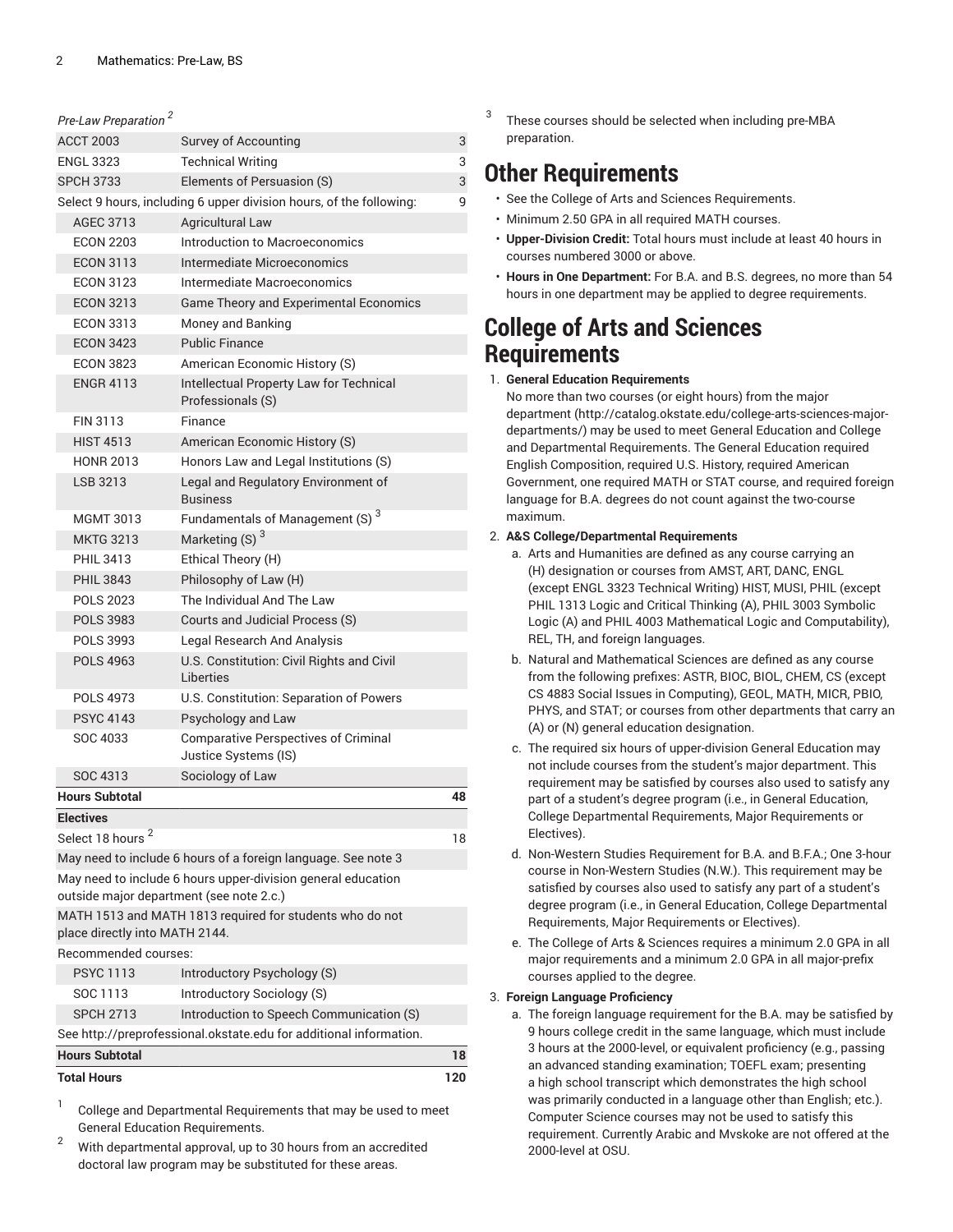| Pre-Law Preparation <sup>2</sup>                                   |                                                                     |     |
|--------------------------------------------------------------------|---------------------------------------------------------------------|-----|
| <b>ACCT 2003</b>                                                   | Survey of Accounting                                                | 3   |
| <b>ENGL 3323</b>                                                   | <b>Technical Writing</b>                                            | 3   |
| <b>SPCH 3733</b>                                                   | Elements of Persuasion (S)                                          | 3   |
|                                                                    | Select 9 hours, including 6 upper division hours, of the following: | 9   |
| AGEC 3713                                                          | <b>Agricultural Law</b>                                             |     |
| <b>ECON 2203</b>                                                   | Introduction to Macroeconomics                                      |     |
| <b>ECON 3113</b>                                                   | Intermediate Microeconomics                                         |     |
| <b>ECON 3123</b>                                                   | Intermediate Macroeconomics                                         |     |
| <b>ECON 3213</b>                                                   | Game Theory and Experimental Economics                              |     |
| <b>ECON 3313</b>                                                   | Money and Banking                                                   |     |
| <b>ECON 3423</b>                                                   | <b>Public Finance</b>                                               |     |
| <b>ECON 3823</b>                                                   | American Economic History (S)                                       |     |
| <b>ENGR 4113</b>                                                   | Intellectual Property Law for Technical                             |     |
| FIN 3113                                                           | Professionals (S)<br>Finance                                        |     |
|                                                                    |                                                                     |     |
| <b>HIST 4513</b>                                                   | American Economic History (S)                                       |     |
| <b>HONR 2013</b>                                                   | Honors Law and Legal Institutions (S)                               |     |
| LSB 3213                                                           | Legal and Regulatory Environment of<br><b>Business</b>              |     |
| <b>MGMT 3013</b>                                                   | Fundamentals of Management (S) <sup>3</sup>                         |     |
| <b>MKTG 3213</b>                                                   | Marketing (S) <sup>3</sup>                                          |     |
| PHII 3413                                                          | Ethical Theory (H)                                                  |     |
| <b>PHIL 3843</b>                                                   | Philosophy of Law (H)                                               |     |
| <b>POLS 2023</b>                                                   | The Individual And The Law                                          |     |
| <b>POLS 3983</b>                                                   | Courts and Judicial Process (S)                                     |     |
| POLS 3993                                                          | Legal Research And Analysis                                         |     |
| <b>POLS 4963</b>                                                   | U.S. Constitution: Civil Rights and Civil<br>Liberties              |     |
| POLS 4973                                                          | U.S. Constitution: Separation of Powers                             |     |
| <b>PSYC 4143</b>                                                   | Psychology and Law                                                  |     |
| SOC 4033                                                           | <b>Comparative Perspectives of Criminal</b><br>Justice Systems (IS) |     |
| SOC 4313                                                           | Sociology of Law                                                    |     |
| <b>Hours Subtotal</b>                                              |                                                                     | 48  |
| <b>Electives</b>                                                   |                                                                     |     |
| Select 18 hours <sup>2</sup>                                       |                                                                     | 18  |
|                                                                    | May need to include 6 hours of a foreign language. See note 3       |     |
|                                                                    | May need to include 6 hours upper-division general education        |     |
| outside major department (see note 2.c.)                           |                                                                     |     |
| place directly into MATH 2144.                                     | MATH 1513 and MATH 1813 required for students who do not            |     |
| Recommended courses:                                               |                                                                     |     |
| <b>PSYC 1113</b>                                                   | Introductory Psychology (S)                                         |     |
| SOC 1113                                                           | Introductory Sociology (S)                                          |     |
| <b>SPCH 2713</b>                                                   | Introduction to Speech Communication (S)                            |     |
| See http://preprofessional.okstate.edu for additional information. |                                                                     |     |
| <b>Hours Subtotal</b>                                              |                                                                     | 18  |
| <b>Total Hours</b>                                                 |                                                                     | 120 |

1 College and Departmental Requirements that may be used to meet General Education Requirements.

 $2^2$  With departmental approval, up to 30 hours from an accredited doctoral law program may be substituted for these areas.

3 These courses should be selected when including pre-MBA preparation.

## **Other Requirements**

- See the College of Arts and Sciences Requirements.
- Minimum 2.50 GPA in all required MATH courses.
- **Upper-Division Credit:** Total hours must include at least 40 hours in courses numbered 3000 or above.
- **Hours in One Department:** For B.A. and B.S. degrees, no more than 54 hours in one department may be applied to degree requirements.

### **College of Arts and Sciences Requirements**

#### 1. **General Education Requirements**

No more than two courses (or eight hours) from [the major](http://catalog.okstate.edu/college-arts-sciences-major-departments/) [department](http://catalog.okstate.edu/college-arts-sciences-major-departments/) ([http://catalog.okstate.edu/college-arts-sciences-major](http://catalog.okstate.edu/college-arts-sciences-major-departments/)[departments/\)](http://catalog.okstate.edu/college-arts-sciences-major-departments/) may be used to meet General Education and College and Departmental Requirements. The General Education required English Composition, required U.S. History, required American Government, one required MATH or STAT course, and required foreign language for B.A. degrees do not count against the two-course maximum.

### 2. **A&S College/Departmental Requirements**

- a. Arts and Humanities are defined as any course carrying an (H) designation or courses from AMST, ART, DANC, ENGL (except ENGL 3323 Technical Writing) HIST, MUSI, PHIL (except PHIL 1313 Logic and Critical Thinking (A), PHIL 3003 Symbolic Logic (A) and PHIL 4003 Mathematical Logic and Computability), REL, TH, and foreign languages.
- b. Natural and Mathematical Sciences are defined as any course from the following prefixes: ASTR, BIOC, BIOL, CHEM, CS (except CS 4883 Social Issues in Computing), GEOL, MATH, MICR, PBIO, PHYS, and STAT; or courses from other departments that carry an (A) or (N) general education designation.
- c. The required six hours of upper-division General Education may not include courses from the student's major department. This requirement may be satisfied by courses also used to satisfy any part of a student's degree program (i.e., in General Education, College Departmental Requirements, Major Requirements or Electives).
- d. Non-Western Studies Requirement for B.A. and B.F.A.; One 3-hour course in Non-Western Studies (N.W.). This requirement may be satisfied by courses also used to satisfy any part of a student's degree program (i.e., in General Education, College Departmental Requirements, Major Requirements or Electives).
- e. The College of Arts & Sciences requires a minimum 2.0 GPA in all major requirements and a minimum 2.0 GPA in all major-prefix courses applied to the degree.

### 3. **Foreign Language Proficiency**

a. The foreign language requirement for the B.A. may be satisfied by 9 hours college credit in the same language, which must include 3 hours at the 2000-level, or equivalent proficiency (e.g., passing an advanced standing examination; TOEFL exam; presenting a high school transcript which demonstrates the high school was primarily conducted in a language other than English; etc.). Computer Science courses may not be used to satisfy this requirement. Currently Arabic and Mvskoke are not offered at the 2000-level at OSU.